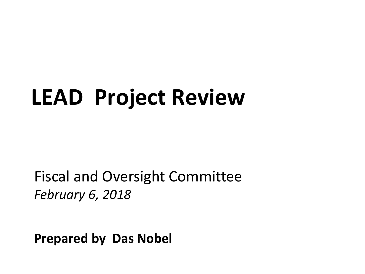# **LEAD Project Review**

Fiscal and Oversight Committee *February 6, 2018*

**Prepared by Das Nobel**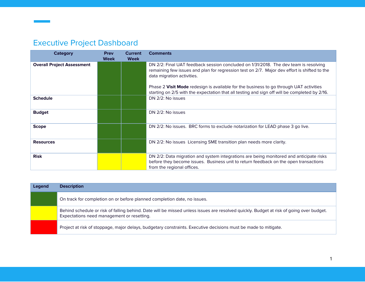## Executive Project Dashboard

| <b>Category</b>                   | <b>Prev</b><br><b>Week</b> | <b>Current</b><br><b>Week</b> | <b>Comments</b>                                                                                                                                                                                                                                                                                                                                                                                               |
|-----------------------------------|----------------------------|-------------------------------|---------------------------------------------------------------------------------------------------------------------------------------------------------------------------------------------------------------------------------------------------------------------------------------------------------------------------------------------------------------------------------------------------------------|
| <b>Overall Project Assessment</b> |                            |                               | DN 2/2: Final UAT feedback session concluded on 1/31/2018. The dev team is resolving<br>remaining few issues and plan for regression test on 2/7. Major dev effort is shifted to the<br>data migration activities.<br>Phase 2 Visit Mode redesign is available for the business to go through UAT activities<br>starting on 2/5 with the expectation that all testing and sign off will be completed by 2/16. |
| <b>Schedule</b>                   |                            |                               | DN 2/2: No issues                                                                                                                                                                                                                                                                                                                                                                                             |
| <b>Budget</b>                     |                            |                               | DN 2/2: No issues                                                                                                                                                                                                                                                                                                                                                                                             |
| <b>Scope</b>                      |                            |                               | DN 2/2: No issues. BRC forms to exclude notarization for LEAD phase 3 go live.                                                                                                                                                                                                                                                                                                                                |
| <b>Resources</b>                  |                            |                               | DN 2/2: No issues Licensing SME transition plan needs more clarity.                                                                                                                                                                                                                                                                                                                                           |
| <b>Risk</b>                       |                            |                               | DN 2/2: Data migration and system integrations are being monitored and anticipate risks<br>before they become issues. Business unit to return feedback on the open transactions<br>from the regional offices.                                                                                                                                                                                                 |

| Legend | <b>Description</b>                                                                                                                                                                    |
|--------|---------------------------------------------------------------------------------------------------------------------------------------------------------------------------------------|
|        | On track for completion on or before planned completion date, no issues.                                                                                                              |
|        | Behind schedule or risk of falling behind. Date will be missed unless issues are resolved quickly. Budget at risk of going over budget.<br>Expectations need management or resetting. |
|        | Project at risk of stoppage, major delays, budgetary constraints. Executive decisions must be made to mitigate.                                                                       |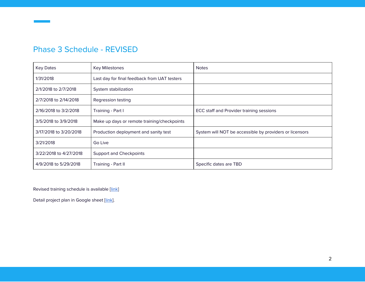#### Phase 3 Schedule - REVISED

| <b>Key Dates</b>       | <b>Key Milestones</b>                        | <b>Notes</b>                                            |
|------------------------|----------------------------------------------|---------------------------------------------------------|
| 1/31/2018              | Last day for final feedback from UAT testers |                                                         |
| 2/1/2018 to 2/7/2018   | System stabilization                         |                                                         |
| 2/7/2018 to 2/14/2018  | Regression testing                           |                                                         |
| 2/16/2018 to 3/2/2018  | Training - Part I                            | ECC staff and Provider training sessions                |
| 3/5/2018 to 3/9/2018   | Make up days or remote training/checkpoints  |                                                         |
| 3/17/2018 to 3/20/2018 | Production deployment and sanity test        | System will NOT be accessible by providers or licensors |
| 3/21/2018              | Go Live                                      |                                                         |
| 3/22/2018 to 4/27/2018 | <b>Support and Checkpoints</b>               |                                                         |
| 4/9/2018 to 5/29/2018  | Training - Part II                           | Specific dates are TBD                                  |

Revised training schedule is available [[link\]](https://docs.google.com/spreadsheets/d/1bCgBRcpMdyHLDx058jzzHfkvtcFt7yu1jpY588HaMm0/edit#gid=1029183419)

Detail project plan in Google sheet [[link\]](https://docs.google.com/spreadsheets/d/1OKrrSbr7GVQ_zen_ZIVo93BwYnFSuQ86Y6NALJFG2v4/edit#gid=1297639763).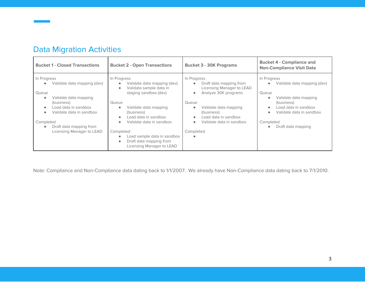| <b>Bucket 1 - Closed Transactions</b>                                                                                                                                                                                                         | <b>Bucket 2 - Open Transactions</b>                                                                                                                                                                                                                                                                                                                                                               | <b>Bucket 3 - 30K Programs</b>                                                                                                                                                                                                                                                     | <b>Bucket 4 - Compliance and</b><br><b>Non-Compliance Visit Data</b>                                                                                                                                                     |  |  |
|-----------------------------------------------------------------------------------------------------------------------------------------------------------------------------------------------------------------------------------------------|---------------------------------------------------------------------------------------------------------------------------------------------------------------------------------------------------------------------------------------------------------------------------------------------------------------------------------------------------------------------------------------------------|------------------------------------------------------------------------------------------------------------------------------------------------------------------------------------------------------------------------------------------------------------------------------------|--------------------------------------------------------------------------------------------------------------------------------------------------------------------------------------------------------------------------|--|--|
| In Progress<br>Validate data mapping (dev)<br>Queue<br>Validate data mapping<br>$\bullet$<br>(business)<br>Load data in sandbox<br>Validate data in sandbox<br>Completed<br>Draft data mapping from<br>$\bullet$<br>Licensing Manager to LEAD | In Progress<br>Validate data mapping (dev)<br>$\bullet$<br>Validata sample data in<br>$\bullet$<br>staging sandbox (dev)<br>Queue<br>Validate data mapping<br>$\bullet$<br>(business)<br>Load data in sandbox<br>$\bullet$<br>Validate data in sandbox<br>$\bullet$<br>Completed<br>Load sample data in sandbox<br>$\bullet$<br>Draft data mapping from<br>$\bullet$<br>Licensing Manager to LEAD | In Progress<br>Draft data mapping from<br>$\bullet$<br>Licensing Manager to LEAD<br>Analyze 30K programs<br>$\bullet$<br>Queue<br>Validate data mapping<br>$\bullet$<br>(business)<br>Load data in sandbox<br>$\bullet$<br>Validate data in sandbox<br>$\bullet$<br>Completed<br>٠ | In Progress<br>Validate data mapping (dev)<br>$\bullet$<br>Queue<br>Validate data mapping<br>(business)<br>Load data in sandbox<br>Validate data in sandbox<br>$\bullet$<br>Completed<br>Draft data mapping<br>$\bullet$ |  |  |

### Data Migration Activities

Note: Compliance and Non-Compliance data dating back to 1/1/2007. We already have Non-Compliance data dating back to 7/1/2010.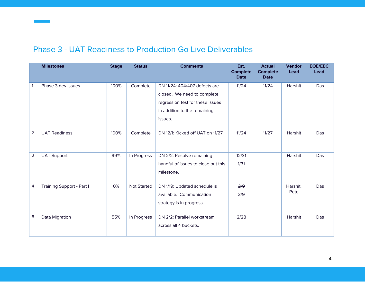#### Phase 3 - UAT Readiness to Production Go Live Deliverables

|                | <b>Milestones</b>         | <b>Stage</b> | <b>Status</b>      | <b>Comments</b>                                                                                                                             | Est.<br><b>Complete</b><br><b>Date</b> | <b>Actual</b><br><b>Complete</b><br><b>Date</b> | <b>Vendor</b><br><b>Lead</b> | <b>EOE/EEC</b><br><b>Lead</b> |
|----------------|---------------------------|--------------|--------------------|---------------------------------------------------------------------------------------------------------------------------------------------|----------------------------------------|-------------------------------------------------|------------------------------|-------------------------------|
|                | Phase 3 dev issues        | 100%         | Complete           | DN 11/24: 404/407 defects are<br>closed. We need to complete<br>regression test for these issues<br>in addition to the remaining<br>issues. | 11/24                                  | 11/24                                           | Harshit                      | Das                           |
| $\overline{2}$ | <b>UAT Readiness</b>      | 100%         | Complete           | DN 12/1: Kicked off UAT on 11/27                                                                                                            | 11/24                                  | 11/27                                           | <b>Harshit</b>               | Das                           |
| 3              | <b>UAT Support</b>        | 99%          | In Progress        | DN 2/2: Resolve remaining<br>handful of issues to close out this<br>milestone.                                                              | 12/31<br>1/31                          |                                                 | Harshit                      | Das                           |
| 4              | Training Support - Part I | 0%           | <b>Not Started</b> | DN 1/19: Updated schedule is<br>available. Communication<br>strategy is in progress.                                                        | 2/9<br>3/9                             |                                                 | Harshit,<br>Pete             | Das                           |
| 5              | Data Migration            | 55%          | In Progress        | DN 2/2: Parallel workstream<br>across all 4 buckets.                                                                                        | 2/28                                   |                                                 | Harshit                      | Das                           |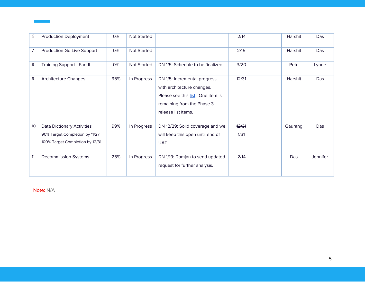| 6  | <b>Production Deployment</b>                                                                           | 0%  | Not Started        |                                                                                                                                                      | 2/14          | Harshit | Das      |
|----|--------------------------------------------------------------------------------------------------------|-----|--------------------|------------------------------------------------------------------------------------------------------------------------------------------------------|---------------|---------|----------|
| 7  | Production Go Live Support                                                                             | 0%  | <b>Not Started</b> |                                                                                                                                                      | 2/15          | Harshit | Das      |
| 8  | <b>Training Support - Part II</b>                                                                      | 0%  | <b>Not Started</b> | DN 1/5: Schedule to be finalized                                                                                                                     | 3/20          | Pete    | Lynne    |
| 9  | <b>Architecture Changes</b>                                                                            | 95% | In Progress        | DN 1/5: Incremental progress<br>with architecture changes.<br>Please see this list. One item is<br>remaining from the Phase 3<br>release list items. | 12/31         | Harshit | Das      |
| 10 | <b>Data Dictionary Activities</b><br>90% Target Completion by 11/27<br>100% Target Completion by 12/31 | 99% | In Progress        | DN 12/29: Solid coverage and we<br>will keep this open until end of<br>UAT.                                                                          | 12/31<br>1/31 | Gaurang | Das      |
| 11 | <b>Decommission Systems</b>                                                                            | 25% | In Progress        | DN 1/19: Damjan to send updated<br>request for further analysis.                                                                                     | 2/14          | Das     | Jennifer |

Note: N/A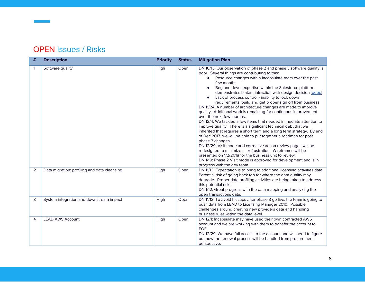#### OPEN Issues / Risks

| # | <b>Description</b>                           | <b>Priority</b> | <b>Status</b> | <b>Mitigation Plan</b>                                                                                                                                                                                                                                                                                                                                                                                                                                                                                                                                                                                                                                                                                                                                                                                                                                                                                                                                                                                                                                                                                                                                                                                               |
|---|----------------------------------------------|-----------------|---------------|----------------------------------------------------------------------------------------------------------------------------------------------------------------------------------------------------------------------------------------------------------------------------------------------------------------------------------------------------------------------------------------------------------------------------------------------------------------------------------------------------------------------------------------------------------------------------------------------------------------------------------------------------------------------------------------------------------------------------------------------------------------------------------------------------------------------------------------------------------------------------------------------------------------------------------------------------------------------------------------------------------------------------------------------------------------------------------------------------------------------------------------------------------------------------------------------------------------------|
| 1 | Software quality                             | High            | Open          | DN 10/13: Our observation of phase 2 and phase 3 software quality is<br>poor. Several things are contributing to this:<br>Resource changes within Incapsulate team over the past<br>few months<br>Beginner level expertise within the Salesforce platform<br>demonstrates blatant infraction with design decision [gdoc]<br>Lack of process control - inability to lock down<br>requirements, build and get proper sign off from business<br>DN 11/24: A number of architecture changes are made to improve<br>quality. Additional work is remaining for continuous improvement<br>over the next few months.<br>DN 12/4: We tackled a few items that needed immediate attention to<br>improve quality. There is a significant technical debt that we<br>inherited that requires a short term and a long term strategy. By end<br>of Dec 2017, we will be able to put together a roadmap for post<br>phase 3 changes.<br>DN 12/29: Visit mode and corrective action review pages will be<br>redesigned to minimize user frustration. Wireframes will be<br>presented on 1/2/2018 for the business unit to review.<br>DN 1/19: Phase 2 Visit mode is approved for development and is in<br>progress with the dev team. |
| 2 | Data migration: profiling and data cleansing | High            | Open          | DN 11/13: Expectation is to bring to additional licensing activities data.<br>Potential risk of going back too far where the data quality may<br>degrade. Proper data profiling activities are being taken to address<br>this potential risk.<br>DN 1/12: Great progress with the data mapping and analyzing the<br>open transactions data.                                                                                                                                                                                                                                                                                                                                                                                                                                                                                                                                                                                                                                                                                                                                                                                                                                                                          |
| 3 | System integration and downstream impact     | High            | Open          | DN 11/13: To avoid hiccups after phase 3 go live, the team is going to<br>push data from LEAD to Licensing Manager 2010. Possible<br>challenges around creating new providers data and handling<br>business rules within the data level.                                                                                                                                                                                                                                                                                                                                                                                                                                                                                                                                                                                                                                                                                                                                                                                                                                                                                                                                                                             |
| 4 | <b>LEAD AWS Account</b>                      | High            | Open          | DN 12/1: Incapsulate may have used their own contracted AWS<br>account and we are working with them to transfer the account to<br>EOE.<br>DN 12/29: We have full access to the account and will need to figure<br>out how the renewal process will be handled from procurement<br>perspective.                                                                                                                                                                                                                                                                                                                                                                                                                                                                                                                                                                                                                                                                                                                                                                                                                                                                                                                       |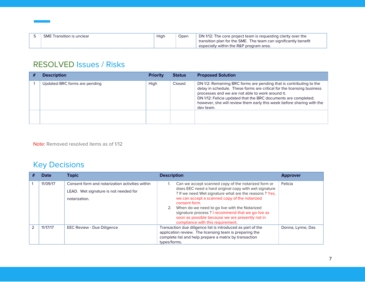| <b>SME Transition is unclear</b> | Hiah | Open | DN 1/12: The core project team is requesting clarity over the   |
|----------------------------------|------|------|-----------------------------------------------------------------|
|                                  |      |      | transition plan for the SME. The team can significantly benefit |
|                                  |      |      | especially within the R&P program area.                         |

#### RESOLVED Issues / Risks

| <b>Description</b>            | <b>Priority</b> | <b>Status</b> | <b>Proposed Solution</b>                                                                                                                                                                                                                                                                                                                                  |
|-------------------------------|-----------------|---------------|-----------------------------------------------------------------------------------------------------------------------------------------------------------------------------------------------------------------------------------------------------------------------------------------------------------------------------------------------------------|
| Updated BRC forms are pending | High            | Closed        | DN 1/2: Remaining BRC forms are pending that is contributing to the<br>delay in schedule. These forms are critical for the licensing business<br>processes and we are not able to work around it.<br>DN 1/12: Felicia updated that the BRC documents are completed;<br>however, she will review them early this week before sharing with the<br>dev team. |
|                               |                 |               |                                                                                                                                                                                                                                                                                                                                                           |

Note: Removed resolved items as of 1/12

## Key Decisions

|               | <b>Date</b> | <b>Topic</b>                                                                                              | <b>Description</b>                                                                                                                                                                                                                                                                                                                                                                                                                         | <b>Approver</b>   |
|---------------|-------------|-----------------------------------------------------------------------------------------------------------|--------------------------------------------------------------------------------------------------------------------------------------------------------------------------------------------------------------------------------------------------------------------------------------------------------------------------------------------------------------------------------------------------------------------------------------------|-------------------|
|               | 11/09/17    | Consent form and notarization activities within<br>LEAD. Wet signature is not needed for<br>notarization. | Can we accept scanned copy of the notarized form or<br>does EEC need a hard original copy with wet signature<br>? If we need Wet signature what are the reasons ? Yes,<br>we can accept a scanned copy of the notarized<br>consent form.<br>2. When do we need to go live with the Notarized<br>signature process? I recommend that we go live as<br>soon as possible because we are presently not in<br>compliance with this requirement. | Felicia           |
| $\mathcal{P}$ | 11/17/17    | <b>EEC Review - Due Diligence</b>                                                                         | Transaction due diligence list is introduced as part of the<br>application review. The licensing team is preparing the<br>complete list and help prepare a matrix by transaction<br>types/forms.                                                                                                                                                                                                                                           | Donna, Lynne, Das |